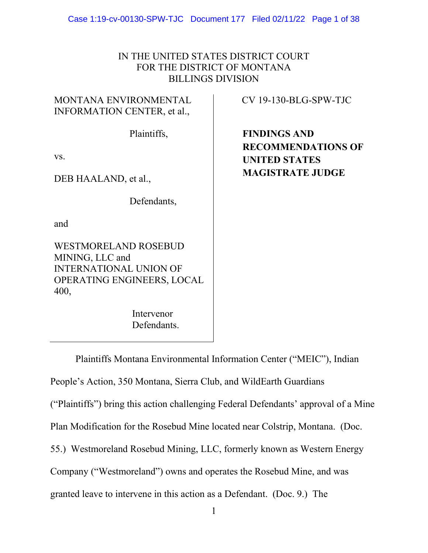Case 1:19-cv-00130-SPW-TJC Document 177 Filed 02/11/22 Page 1 of 38

# IN THE UNITED STATES DISTRICT COURT FOR THE DISTRICT OF MONTANA BILLINGS DIVISION

# MONTANA ENVIRONMENTAL INFORMATION CENTER, et al.,

CV 19-130-BLG-SPW-TJC

Plaintiffs,

vs.

DEB HAALAND, et al.,

Defendants,

and

WESTMORELAND ROSEBUD MINING, LLC and INTERNATIONAL UNION OF OPERATING ENGINEERS, LOCAL 400,

> Intervenor Defendants.

**FINDINGS AND RECOMMENDATIONS OF UNITED STATES MAGISTRATE JUDGE**

Plaintiffs Montana Environmental Information Center ("MEIC"), Indian People's Action, 350 Montana, Sierra Club, and WildEarth Guardians ("Plaintiffs") bring this action challenging Federal Defendants' approval of a Mine Plan Modification for the Rosebud Mine located near Colstrip, Montana. (Doc. 55.) Westmoreland Rosebud Mining, LLC, formerly known as Western Energy Company ("Westmoreland") owns and operates the Rosebud Mine, and was granted leave to intervene in this action as a Defendant. (Doc. 9.) The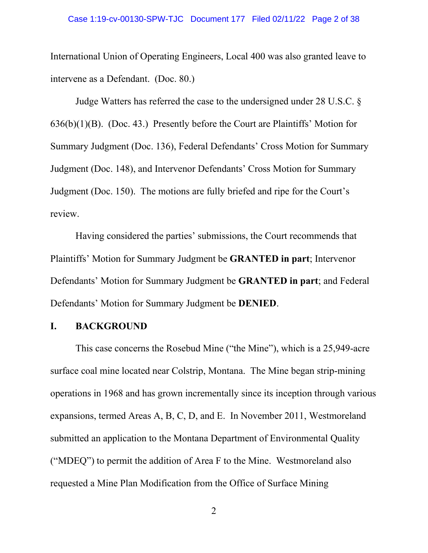International Union of Operating Engineers, Local 400 was also granted leave to intervene as a Defendant. (Doc. 80.)

Judge Watters has referred the case to the undersigned under 28 U.S.C. § 636(b)(1)(B). (Doc. 43.) Presently before the Court are Plaintiffs' Motion for Summary Judgment (Doc. 136), Federal Defendants' Cross Motion for Summary Judgment (Doc. 148), and Intervenor Defendants' Cross Motion for Summary Judgment (Doc. 150). The motions are fully briefed and ripe for the Court's review.

Having considered the parties' submissions, the Court recommends that Plaintiffs' Motion for Summary Judgment be **GRANTED in part**; Intervenor Defendants' Motion for Summary Judgment be **GRANTED in part**; and Federal Defendants' Motion for Summary Judgment be **DENIED**.

### **I. BACKGROUND**

This case concerns the Rosebud Mine ("the Mine"), which is a 25,949-acre surface coal mine located near Colstrip, Montana. The Mine began strip-mining operations in 1968 and has grown incrementally since its inception through various expansions, termed Areas A, B, C, D, and E. In November 2011, Westmoreland submitted an application to the Montana Department of Environmental Quality ("MDEQ") to permit the addition of Area F to the Mine. Westmoreland also requested a Mine Plan Modification from the Office of Surface Mining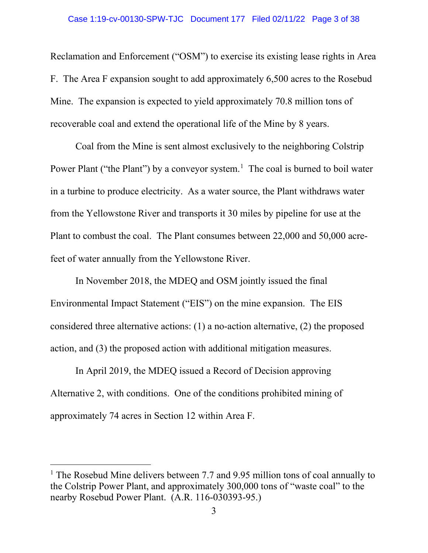### Case 1:19-cv-00130-SPW-TJC Document 177 Filed 02/11/22 Page 3 of 38

Reclamation and Enforcement ("OSM") to exercise its existing lease rights in Area F. The Area F expansion sought to add approximately 6,500 acres to the Rosebud Mine. The expansion is expected to yield approximately 70.8 million tons of recoverable coal and extend the operational life of the Mine by 8 years.

Coal from the Mine is sent almost exclusively to the neighboring Colstrip Power Plant ("the Plant") by a conveyor system.<sup>[1](#page-2-0)</sup> The coal is burned to boil water in a turbine to produce electricity. As a water source, the Plant withdraws water from the Yellowstone River and transports it 30 miles by pipeline for use at the Plant to combust the coal. The Plant consumes between 22,000 and 50,000 acrefeet of water annually from the Yellowstone River.

In November 2018, the MDEQ and OSM jointly issued the final Environmental Impact Statement ("EIS") on the mine expansion. The EIS considered three alternative actions: (1) a no-action alternative, (2) the proposed action, and (3) the proposed action with additional mitigation measures.

In April 2019, the MDEQ issued a Record of Decision approving Alternative 2, with conditions. One of the conditions prohibited mining of approximately 74 acres in Section 12 within Area F.

<span id="page-2-0"></span><sup>&</sup>lt;sup>1</sup> The Rosebud Mine delivers between 7.7 and 9.95 million tons of coal annually to the Colstrip Power Plant, and approximately 300,000 tons of "waste coal" to the nearby Rosebud Power Plant. (A.R. 116-030393-95.)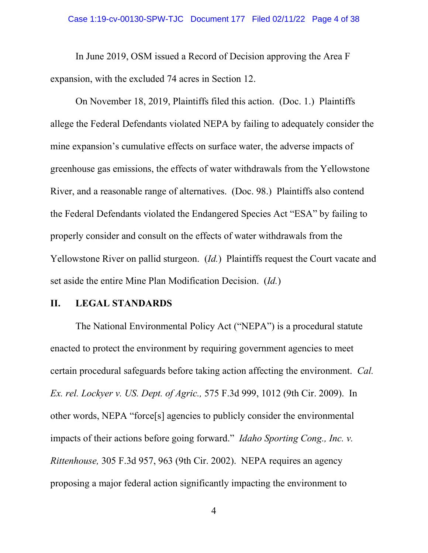### Case 1:19-cv-00130-SPW-TJC Document 177 Filed 02/11/22 Page 4 of 38

In June 2019, OSM issued a Record of Decision approving the Area F expansion, with the excluded 74 acres in Section 12.

On November 18, 2019, Plaintiffs filed this action. (Doc. 1.) Plaintiffs allege the Federal Defendants violated NEPA by failing to adequately consider the mine expansion's cumulative effects on surface water, the adverse impacts of greenhouse gas emissions, the effects of water withdrawals from the Yellowstone River, and a reasonable range of alternatives. (Doc. 98.) Plaintiffs also contend the Federal Defendants violated the Endangered Species Act "ESA" by failing to properly consider and consult on the effects of water withdrawals from the Yellowstone River on pallid sturgeon. (*Id.*) Plaintiffs request the Court vacate and set aside the entire Mine Plan Modification Decision. (*Id.*)

## **II. LEGAL STANDARDS**

The National Environmental Policy Act ("NEPA") is a procedural statute enacted to protect the environment by requiring government agencies to meet certain procedural safeguards before taking action affecting the environment. *Cal. Ex. rel. Lockyer v. US. Dept. of Agric.,* 575 F.3d 999, 1012 (9th Cir. 2009). In other words, NEPA "force[s] agencies to publicly consider the environmental impacts of their actions before going forward." *Idaho Sporting Cong., Inc. v. Rittenhouse,* 305 F.3d 957, 963 (9th Cir. 2002). NEPA requires an agency proposing a major federal action significantly impacting the environment to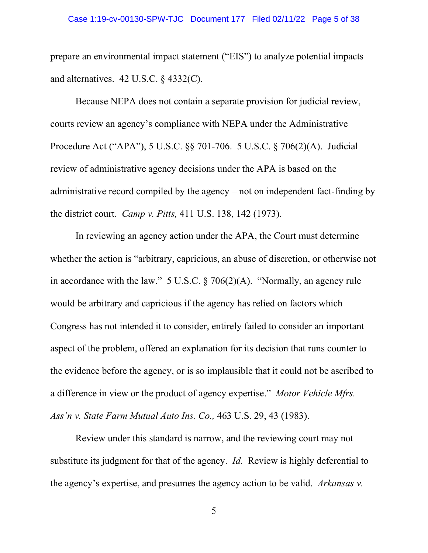prepare an environmental impact statement ("EIS") to analyze potential impacts and alternatives. 42 U.S.C. § 4332(C).

Because NEPA does not contain a separate provision for judicial review, courts review an agency's compliance with NEPA under the Administrative Procedure Act ("APA"), 5 U.S.C. §§ 701-706. 5 U.S.C. § 706(2)(A). Judicial review of administrative agency decisions under the APA is based on the administrative record compiled by the agency – not on independent fact-finding by the district court. *Camp v. Pitts,* 411 U.S. 138, 142 (1973).

In reviewing an agency action under the APA, the Court must determine whether the action is "arbitrary, capricious, an abuse of discretion, or otherwise not in accordance with the law." 5 U.S.C. § 706(2)(A). "Normally, an agency rule would be arbitrary and capricious if the agency has relied on factors which Congress has not intended it to consider, entirely failed to consider an important aspect of the problem, offered an explanation for its decision that runs counter to the evidence before the agency, or is so implausible that it could not be ascribed to a difference in view or the product of agency expertise." *Motor Vehicle Mfrs. Ass'n v. State Farm Mutual Auto Ins. Co.,* 463 U.S. 29, 43 (1983).

Review under this standard is narrow, and the reviewing court may not substitute its judgment for that of the agency. *Id.* Review is highly deferential to the agency's expertise, and presumes the agency action to be valid. *Arkansas v.*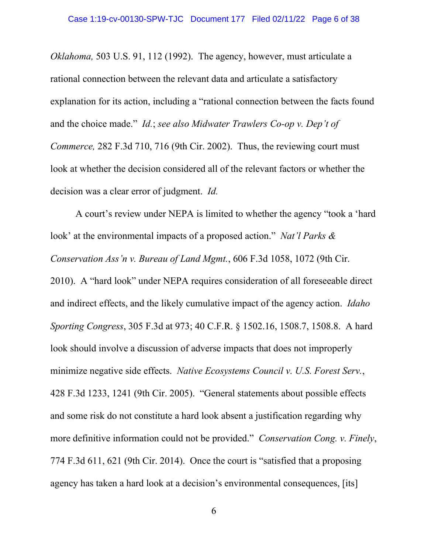*Oklahoma,* 503 U.S. 91, 112 (1992). The agency, however, must articulate a rational connection between the relevant data and articulate a satisfactory explanation for its action, including a "rational connection between the facts found and the choice made." *Id.*; *see also Midwater Trawlers Co-op v. Dep't of Commerce,* 282 F.3d 710, 716 (9th Cir. 2002). Thus, the reviewing court must look at whether the decision considered all of the relevant factors or whether the decision was a clear error of judgment. *Id.*

A court's review under NEPA is limited to whether the agency "took a 'hard look' at the environmental impacts of a proposed action." *Nat'l Parks & Conservation Ass'n v. Bureau of Land Mgmt.*, 606 F.3d 1058, 1072 (9th Cir. 2010). A "hard look" under NEPA requires consideration of all foreseeable direct and indirect effects, and the likely cumulative impact of the agency action. *Idaho Sporting Congress*, 305 F.3d at 973; 40 C.F.R. § 1502.16, 1508.7, 1508.8. A hard look should involve a discussion of adverse impacts that does not improperly minimize negative side effects. *Native Ecosystems Council v. U.S. Forest Serv.*, 428 F.3d 1233, 1241 (9th Cir. 2005). "General statements about possible effects and some risk do not constitute a hard look absent a justification regarding why more definitive information could not be provided." *Conservation Cong. v. Finely*, 774 F.3d 611, 621 (9th Cir. 2014). Once the court is "satisfied that a proposing agency has taken a hard look at a decision's environmental consequences, [its]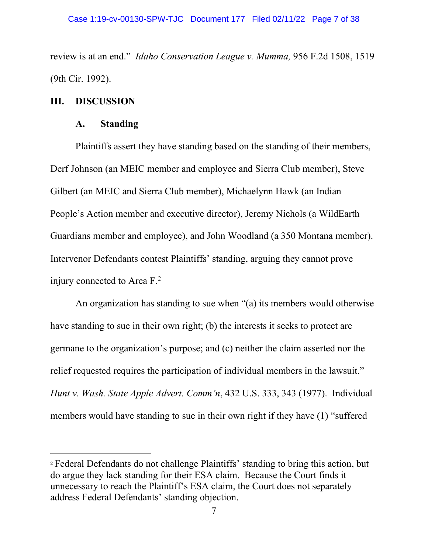review is at an end." *Idaho Conservation League v. Mumma,* 956 F.2d 1508, 1519 (9th Cir. 1992).

# **III. DISCUSSION**

# **A. Standing**

Plaintiffs assert they have standing based on the standing of their members, Derf Johnson (an MEIC member and employee and Sierra Club member), Steve Gilbert (an MEIC and Sierra Club member), Michaelynn Hawk (an Indian People's Action member and executive director), Jeremy Nichols (a WildEarth Guardians member and employee), and John Woodland (a 350 Montana member). Intervenor Defendants contest Plaintiffs' standing, arguing they cannot prove injury connected to Area  $F<sup>2</sup>$  $F<sup>2</sup>$  $F<sup>2</sup>$ .

An organization has standing to sue when "(a) its members would otherwise have standing to sue in their own right; (b) the interests it seeks to protect are germane to the organization's purpose; and (c) neither the claim asserted nor the relief requested requires the participation of individual members in the lawsuit." *Hunt v. Wash. State Apple Advert. Comm'n*, 432 U.S. 333, 343 (1977). Individual members would have standing to sue in their own right if they have (1) "suffered

<span id="page-6-0"></span><sup>2</sup> Federal Defendants do not challenge Plaintiffs' standing to bring this action, but do argue they lack standing for their ESA claim. Because the Court finds it unnecessary to reach the Plaintiff's ESA claim, the Court does not separately address Federal Defendants' standing objection.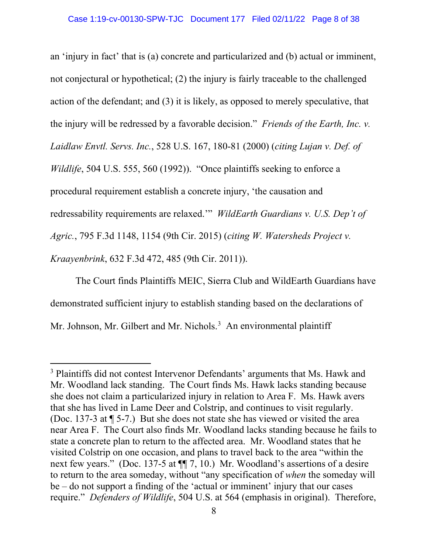an 'injury in fact' that is (a) concrete and particularized and (b) actual or imminent, not conjectural or hypothetical; (2) the injury is fairly traceable to the challenged action of the defendant; and (3) it is likely, as opposed to merely speculative, that the injury will be redressed by a favorable decision." *Friends of the Earth, Inc. v. Laidlaw Envtl. Servs. Inc.*, 528 U.S. 167, 180-81 (2000) (*citing Lujan v. Def. of Wildlife*, 504 U.S. 555, 560 (1992)). "Once plaintiffs seeking to enforce a procedural requirement establish a concrete injury, 'the causation and redressability requirements are relaxed.'" *WildEarth Guardians v. U.S. Dep't of Agric.*, 795 F.3d 1148, 1154 (9th Cir. 2015) (*citing W. Watersheds Project v. Kraayenbrink*, 632 F.3d 472, 485 (9th Cir. 2011)).

The Court finds Plaintiffs MEIC, Sierra Club and WildEarth Guardians have demonstrated sufficient injury to establish standing based on the declarations of Mr. Johnson, Mr. Gilbert and Mr. Nichols.<sup>[3](#page-7-0)</sup> An environmental plaintiff

<span id="page-7-0"></span><sup>&</sup>lt;sup>3</sup> Plaintiffs did not contest Intervenor Defendants' arguments that Ms. Hawk and Mr. Woodland lack standing. The Court finds Ms. Hawk lacks standing because she does not claim a particularized injury in relation to Area F. Ms. Hawk avers that she has lived in Lame Deer and Colstrip, and continues to visit regularly. (Doc. 137-3 at ¶ 5-7.) But she does not state she has viewed or visited the area near Area F. The Court also finds Mr. Woodland lacks standing because he fails to state a concrete plan to return to the affected area. Mr. Woodland states that he visited Colstrip on one occasion, and plans to travel back to the area "within the next few years." (Doc. 137-5 at ¶¶ 7, 10.) Mr. Woodland's assertions of a desire to return to the area someday, without "any specification of *when* the someday will be – do not support a finding of the 'actual or imminent' injury that our cases require." *Defenders of Wildlife*, 504 U.S. at 564 (emphasis in original). Therefore,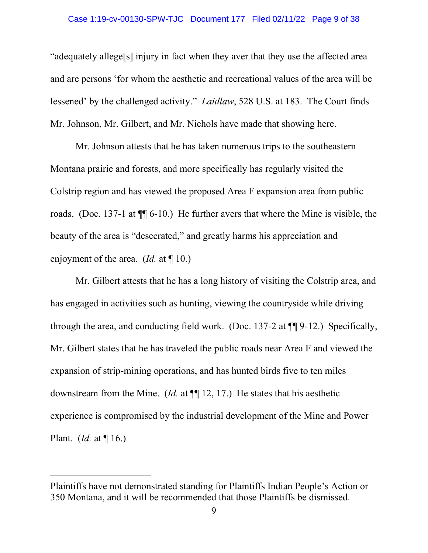### Case 1:19-cv-00130-SPW-TJC Document 177 Filed 02/11/22 Page 9 of 38

"adequately allege[s] injury in fact when they aver that they use the affected area and are persons 'for whom the aesthetic and recreational values of the area will be lessened' by the challenged activity." *Laidlaw*, 528 U.S. at 183. The Court finds Mr. Johnson, Mr. Gilbert, and Mr. Nichols have made that showing here.

Mr. Johnson attests that he has taken numerous trips to the southeastern Montana prairie and forests, and more specifically has regularly visited the Colstrip region and has viewed the proposed Area F expansion area from public roads. (Doc. 137-1 at ¶¶ 6-10.) He further avers that where the Mine is visible, the beauty of the area is "desecrated," and greatly harms his appreciation and enjoyment of the area. (*Id.* at ¶ 10.)

Mr. Gilbert attests that he has a long history of visiting the Colstrip area, and has engaged in activities such as hunting, viewing the countryside while driving through the area, and conducting field work. (Doc. 137-2 at ¶¶ 9-12.) Specifically, Mr. Gilbert states that he has traveled the public roads near Area F and viewed the expansion of strip-mining operations, and has hunted birds five to ten miles downstream from the Mine. (*Id.* at ¶¶ 12, 17.) He states that his aesthetic experience is compromised by the industrial development of the Mine and Power Plant. (*Id.* at ¶ 16.)

Plaintiffs have not demonstrated standing for Plaintiffs Indian People's Action or 350 Montana, and it will be recommended that those Plaintiffs be dismissed.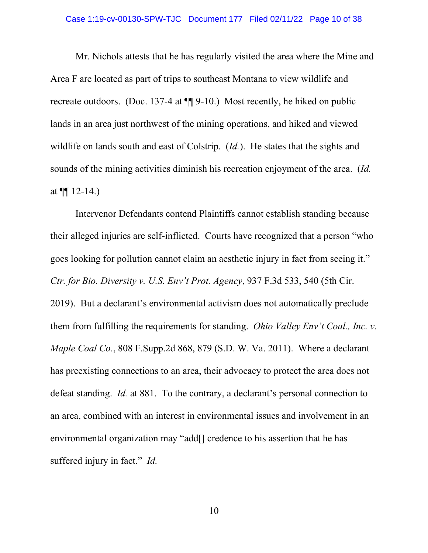### Case 1:19-cv-00130-SPW-TJC Document 177 Filed 02/11/22 Page 10 of 38

Mr. Nichols attests that he has regularly visited the area where the Mine and Area F are located as part of trips to southeast Montana to view wildlife and recreate outdoors. (Doc. 137-4 at ¶¶ 9-10.) Most recently, he hiked on public lands in an area just northwest of the mining operations, and hiked and viewed wildlife on lands south and east of Colstrip. (*Id.*). He states that the sights and sounds of the mining activities diminish his recreation enjoyment of the area. (*Id.* at  $\P\P$  12-14.)

Intervenor Defendants contend Plaintiffs cannot establish standing because their alleged injuries are self-inflicted. Courts have recognized that a person "who goes looking for pollution cannot claim an aesthetic injury in fact from seeing it." *Ctr. for Bio. Diversity v. U.S. Env't Prot. Agency*, 937 F.3d 533, 540 (5th Cir. 2019). But a declarant's environmental activism does not automatically preclude them from fulfilling the requirements for standing. *Ohio Valley Env't Coal., Inc. v. Maple Coal Co.*, 808 F.Supp.2d 868, 879 (S.D. W. Va. 2011). Where a declarant has preexisting connections to an area, their advocacy to protect the area does not defeat standing. *Id.* at 881. To the contrary, a declarant's personal connection to an area, combined with an interest in environmental issues and involvement in an environmental organization may "add[] credence to his assertion that he has suffered injury in fact." *Id.*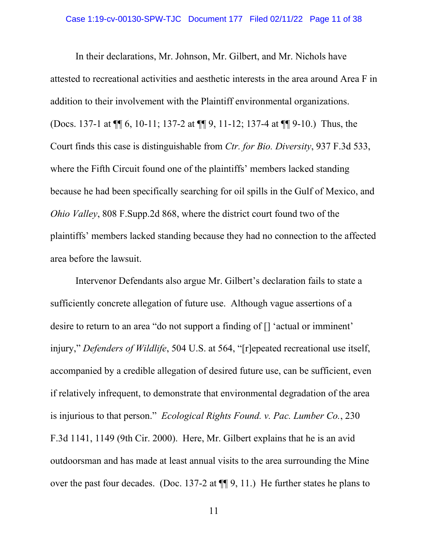In their declarations, Mr. Johnson, Mr. Gilbert, and Mr. Nichols have attested to recreational activities and aesthetic interests in the area around Area F in addition to their involvement with the Plaintiff environmental organizations. (Docs. 137-1 at ¶¶ 6, 10-11; 137-2 at ¶¶ 9, 11-12; 137-4 at ¶¶ 9-10.) Thus, the Court finds this case is distinguishable from *Ctr. for Bio. Diversity*, 937 F.3d 533, where the Fifth Circuit found one of the plaintiffs' members lacked standing because he had been specifically searching for oil spills in the Gulf of Mexico, and *Ohio Valley*, 808 F.Supp.2d 868, where the district court found two of the plaintiffs' members lacked standing because they had no connection to the affected area before the lawsuit.

Intervenor Defendants also argue Mr. Gilbert's declaration fails to state a sufficiently concrete allegation of future use. Although vague assertions of a desire to return to an area "do not support a finding of [] 'actual or imminent' injury," *Defenders of Wildlife*, 504 U.S. at 564, "[r]epeated recreational use itself, accompanied by a credible allegation of desired future use, can be sufficient, even if relatively infrequent, to demonstrate that environmental degradation of the area is injurious to that person." *Ecological Rights Found. v. Pac. Lumber Co.*, 230 F.3d 1141, 1149 (9th Cir. 2000). Here, Mr. Gilbert explains that he is an avid outdoorsman and has made at least annual visits to the area surrounding the Mine over the past four decades. (Doc. 137-2 at ¶¶ 9, 11.) He further states he plans to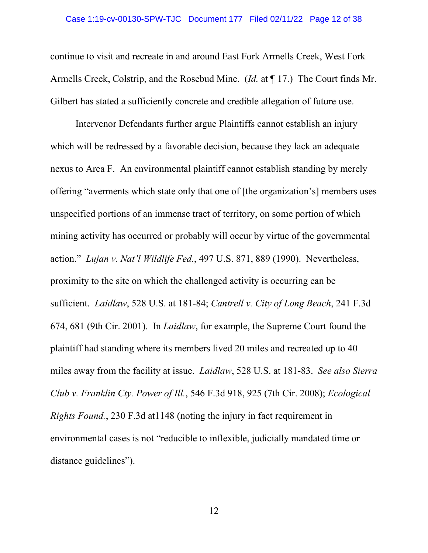### Case 1:19-cv-00130-SPW-TJC Document 177 Filed 02/11/22 Page 12 of 38

continue to visit and recreate in and around East Fork Armells Creek, West Fork Armells Creek, Colstrip, and the Rosebud Mine. (*Id.* at ¶ 17.) The Court finds Mr. Gilbert has stated a sufficiently concrete and credible allegation of future use.

Intervenor Defendants further argue Plaintiffs cannot establish an injury which will be redressed by a favorable decision, because they lack an adequate nexus to Area F. An environmental plaintiff cannot establish standing by merely offering "averments which state only that one of [the organization's] members uses unspecified portions of an immense tract of territory, on some portion of which mining activity has occurred or probably will occur by virtue of the governmental action." *Lujan v. Nat'l Wildlife Fed.*, 497 U.S. 871, 889 (1990). Nevertheless, proximity to the site on which the challenged activity is occurring can be sufficient. *Laidlaw*, 528 U.S. at 181-84; *Cantrell v. City of Long Beach*, 241 F.3d 674, 681 (9th Cir. 2001). In *Laidlaw*, for example, the Supreme Court found the plaintiff had standing where its members lived 20 miles and recreated up to 40 miles away from the facility at issue. *Laidlaw*, 528 U.S. at 181-83. *See also Sierra Club v. Franklin Cty. Power of Ill.*, 546 F.3d 918, 925 (7th Cir. 2008); *Ecological Rights Found.*, 230 F.3d at1148 (noting the injury in fact requirement in environmental cases is not "reducible to inflexible, judicially mandated time or distance guidelines").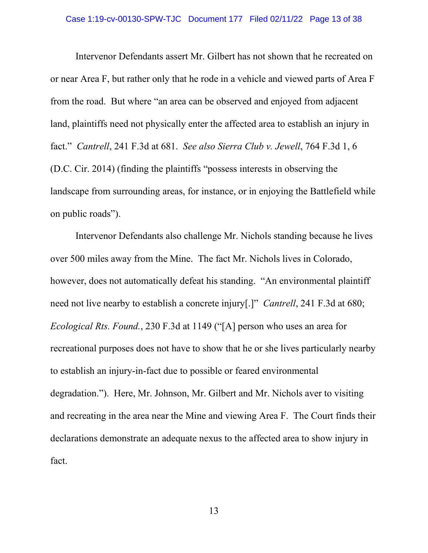Intervenor Defendants assert Mr. Gilbert has not shown that he recreated on or near Area F, but rather only that he rode in a vehicle and viewed parts of Area F from the road. But where "an area can be observed and enjoyed from adjacent land, plaintiffs need not physically enter the affected area to establish an injury in fact." *Cantrell*, 241 F.3d at 681. *See also Sierra Club v. Jewell*, 764 F.3d 1, 6 (D.C. Cir. 2014) (finding the plaintiffs "possess interests in observing the landscape from surrounding areas, for instance, or in enjoying the Battlefield while on public roads").

Intervenor Defendants also challenge Mr. Nichols standing because he lives over 500 miles away from the Mine. The fact Mr. Nichols lives in Colorado, however, does not automatically defeat his standing. "An environmental plaintiff need not live nearby to establish a concrete injury[.]" *Cantrell*, 241 F.3d at 680; *Ecological Rts. Found.*, 230 F.3d at 1149 ("[A] person who uses an area for recreational purposes does not have to show that he or she lives particularly nearby to establish an injury-in-fact due to possible or feared environmental degradation."). Here, Mr. Johnson, Mr. Gilbert and Mr. Nichols aver to visiting and recreating in the area near the Mine and viewing Area F. The Court finds their declarations demonstrate an adequate nexus to the affected area to show injury in fact.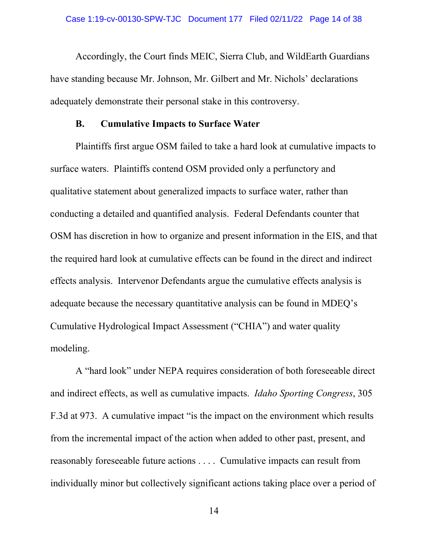Accordingly, the Court finds MEIC, Sierra Club, and WildEarth Guardians have standing because Mr. Johnson, Mr. Gilbert and Mr. Nichols' declarations adequately demonstrate their personal stake in this controversy.

# **B. Cumulative Impacts to Surface Water**

Plaintiffs first argue OSM failed to take a hard look at cumulative impacts to surface waters. Plaintiffs contend OSM provided only a perfunctory and qualitative statement about generalized impacts to surface water, rather than conducting a detailed and quantified analysis. Federal Defendants counter that OSM has discretion in how to organize and present information in the EIS, and that the required hard look at cumulative effects can be found in the direct and indirect effects analysis. Intervenor Defendants argue the cumulative effects analysis is adequate because the necessary quantitative analysis can be found in MDEQ's Cumulative Hydrological Impact Assessment ("CHIA") and water quality modeling.

A "hard look" under NEPA requires consideration of both foreseeable direct and indirect effects, as well as cumulative impacts. *Idaho Sporting Congress*, 305 F.3d at 973. A cumulative impact "is the impact on the environment which results from the incremental impact of the action when added to other past, present, and reasonably foreseeable future actions . . . . Cumulative impacts can result from individually minor but collectively significant actions taking place over a period of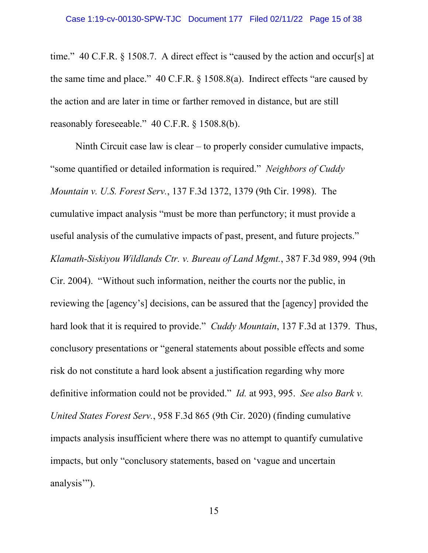time." 40 C.F.R. § 1508.7. A direct effect is "caused by the action and occur[s] at the same time and place." 40 C.F.R. § 1508.8(a). Indirect effects "are caused by the action and are later in time or farther removed in distance, but are still reasonably foreseeable." 40 C.F.R. § 1508.8(b).

Ninth Circuit case law is clear – to properly consider cumulative impacts, "some quantified or detailed information is required." *Neighbors of Cuddy Mountain v. U.S. Forest Serv.*, 137 F.3d 1372, 1379 (9th Cir. 1998). The cumulative impact analysis "must be more than perfunctory; it must provide a useful analysis of the cumulative impacts of past, present, and future projects." *Klamath-Siskiyou Wildlands Ctr. v. Bureau of Land Mgmt.*, 387 F.3d 989, 994 (9th Cir. 2004). "Without such information, neither the courts nor the public, in reviewing the [agency's] decisions, can be assured that the [agency] provided the hard look that it is required to provide." *Cuddy Mountain*, 137 F.3d at 1379.Thus, conclusory presentations or "general statements about possible effects and some risk do not constitute a hard look absent a justification regarding why more definitive information could not be provided." *Id.* at 993, 995. *See also Bark v. United States Forest Serv.*, 958 F.3d 865 (9th Cir. 2020) (finding cumulative impacts analysis insufficient where there was no attempt to quantify cumulative impacts, but only "conclusory statements, based on 'vague and uncertain analysis").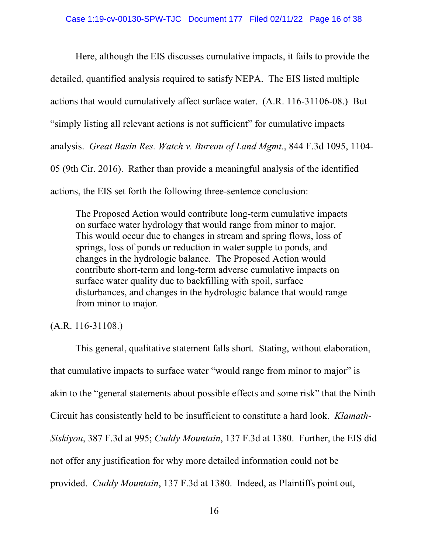Here, although the EIS discusses cumulative impacts, it fails to provide the detailed, quantified analysis required to satisfy NEPA. The EIS listed multiple actions that would cumulatively affect surface water. (A.R. 116-31106-08.) But "simply listing all relevant actions is not sufficient" for cumulative impacts analysis. *Great Basin Res. Watch v. Bureau of Land Mgmt.*, 844 F.3d 1095, 1104- 05 (9th Cir. 2016). Rather than provide a meaningful analysis of the identified actions, the EIS set forth the following three-sentence conclusion:

The Proposed Action would contribute long-term cumulative impacts on surface water hydrology that would range from minor to major. This would occur due to changes in stream and spring flows, loss of springs, loss of ponds or reduction in water supple to ponds, and changes in the hydrologic balance. The Proposed Action would contribute short-term and long-term adverse cumulative impacts on surface water quality due to backfilling with spoil, surface disturbances, and changes in the hydrologic balance that would range from minor to major.

# (A.R. 116-31108.)

This general, qualitative statement falls short. Stating, without elaboration, that cumulative impacts to surface water "would range from minor to major" is akin to the "general statements about possible effects and some risk" that the Ninth Circuit has consistently held to be insufficient to constitute a hard look. *Klamath-Siskiyou*, 387 F.3d at 995; *Cuddy Mountain*, 137 F.3d at 1380. Further, the EIS did not offer any justification for why more detailed information could not be provided. *Cuddy Mountain*, 137 F.3d at 1380. Indeed, as Plaintiffs point out,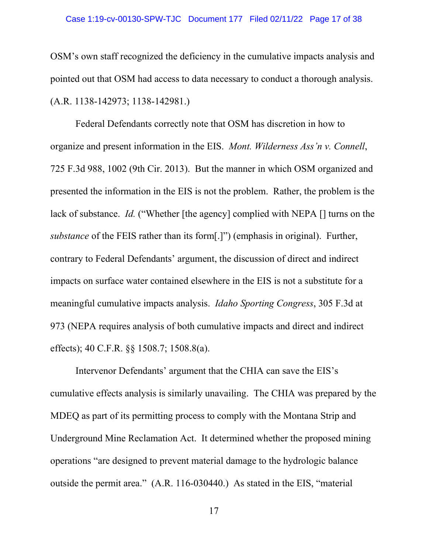### Case 1:19-cv-00130-SPW-TJC Document 177 Filed 02/11/22 Page 17 of 38

OSM's own staff recognized the deficiency in the cumulative impacts analysis and pointed out that OSM had access to data necessary to conduct a thorough analysis. (A.R. 1138-142973; 1138-142981.)

Federal Defendants correctly note that OSM has discretion in how to organize and present information in the EIS. *Mont. Wilderness Ass'n v. Connell*, 725 F.3d 988, 1002 (9th Cir. 2013). But the manner in which OSM organized and presented the information in the EIS is not the problem. Rather, the problem is the lack of substance. *Id.* ("Whether [the agency] complied with NEPA [] turns on the *substance* of the FEIS rather than its form[.]") (emphasis in original). Further, contrary to Federal Defendants' argument, the discussion of direct and indirect impacts on surface water contained elsewhere in the EIS is not a substitute for a meaningful cumulative impacts analysis. *Idaho Sporting Congress*, 305 F.3d at 973 (NEPA requires analysis of both cumulative impacts and direct and indirect effects); 40 C.F.R. §§ 1508.7; 1508.8(a).

Intervenor Defendants' argument that the CHIA can save the EIS's cumulative effects analysis is similarly unavailing. The CHIA was prepared by the MDEQ as part of its permitting process to comply with the Montana Strip and Underground Mine Reclamation Act. It determined whether the proposed mining operations "are designed to prevent material damage to the hydrologic balance outside the permit area." (A.R. 116-030440.) As stated in the EIS, "material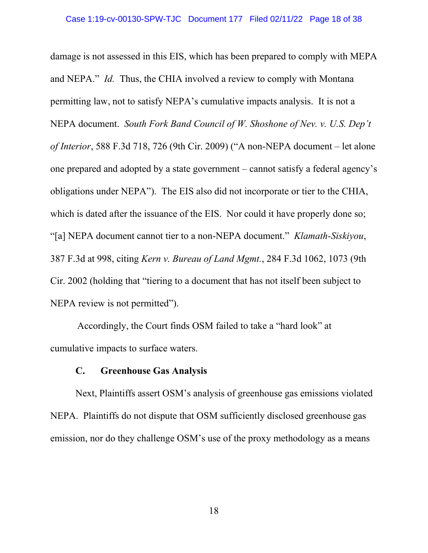damage is not assessed in this EIS, which has been prepared to comply with MEPA and NEPA." *Id.* Thus, the CHIA involved a review to comply with Montana permitting law, not to satisfy NEPA's cumulative impacts analysis. It is not a NEPA document. *South Fork Band Council of W. Shoshone of Nev. v. U.S. Dep't of Interior*, 588 F.3d 718, 726 (9th Cir. 2009) ("A non-NEPA document – let alone one prepared and adopted by a state government – cannot satisfy a federal agency's obligations under NEPA"). The EIS also did not incorporate or tier to the CHIA, which is dated after the issuance of the EIS. Nor could it have properly done so; "[a] NEPA document cannot tier to a non-NEPA document." *Klamath-Siskiyou*, 387 F.3d at 998, citing *Kern v. Bureau of Land Mgmt.*, 284 F.3d 1062, 1073 (9th Cir. 2002 (holding that "tiering to a document that has not itself been subject to NEPA review is not permitted").

Accordingly, the Court finds OSM failed to take a "hard look" at cumulative impacts to surface waters.

### **C. Greenhouse Gas Analysis**

Next, Plaintiffs assert OSM's analysis of greenhouse gas emissions violated NEPA. Plaintiffs do not dispute that OSM sufficiently disclosed greenhouse gas emission, nor do they challenge OSM's use of the proxy methodology as a means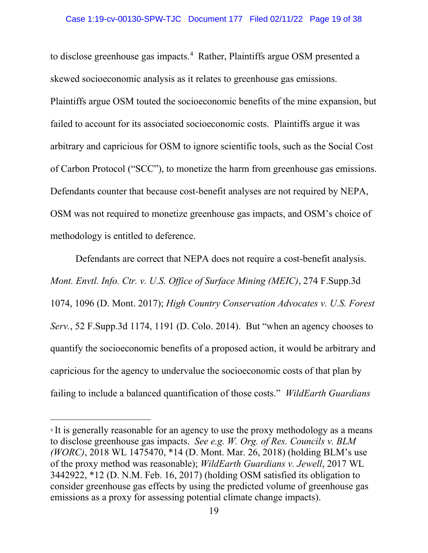to disclose greenhouse gas impacts.<sup>[4](#page-18-0)</sup> Rather, Plaintiffs argue OSM presented a skewed socioeconomic analysis as it relates to greenhouse gas emissions. Plaintiffs argue OSM touted the socioeconomic benefits of the mine expansion, but failed to account for its associated socioeconomic costs. Plaintiffs argue it was arbitrary and capricious for OSM to ignore scientific tools, such as the Social Cost of Carbon Protocol ("SCC"), to monetize the harm from greenhouse gas emissions. Defendants counter that because cost-benefit analyses are not required by NEPA, OSM was not required to monetize greenhouse gas impacts, and OSM's choice of methodology is entitled to deference.

Defendants are correct that NEPA does not require a cost-benefit analysis. *Mont. Envtl. Info. Ctr. v. U.S. Office of Surface Mining (MEIC)*, 274 F.Supp.3d 1074, 1096 (D. Mont. 2017); *High Country Conservation Advocates v. U.S. Forest Serv.*, 52 F.Supp.3d 1174, 1191 (D. Colo. 2014). But "when an agency chooses to quantify the socioeconomic benefits of a proposed action, it would be arbitrary and capricious for the agency to undervalue the socioeconomic costs of that plan by failing to include a balanced quantification of those costs." *WildEarth Guardians* 

<span id="page-18-0"></span><sup>&</sup>lt;sup>4</sup> It is generally reasonable for an agency to use the proxy methodology as a means to disclose greenhouse gas impacts. *See e.g. W. Org. of Res. Councils v. BLM (WORC)*, 2018 WL 1475470, \*14 (D. Mont. Mar. 26, 2018) (holding BLM's use of the proxy method was reasonable); *WildEarth Guardians v. Jewell*, 2017 WL 3442922, \*12 (D. N.M. Feb. 16, 2017) (holding OSM satisfied its obligation to consider greenhouse gas effects by using the predicted volume of greenhouse gas emissions as a proxy for assessing potential climate change impacts).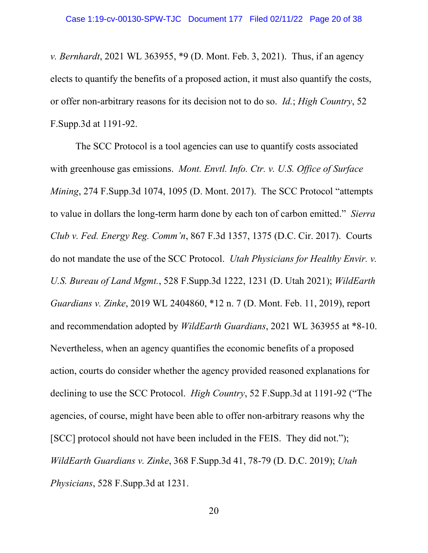*v. Bernhardt*, 2021 WL 363955, \*9 (D. Mont. Feb. 3, 2021). Thus, if an agency elects to quantify the benefits of a proposed action, it must also quantify the costs, or offer non-arbitrary reasons for its decision not to do so. *Id.*; *High Country*, 52 F.Supp.3d at 1191-92.

The SCC Protocol is a tool agencies can use to quantify costs associated with greenhouse gas emissions. *Mont. Envtl. Info. Ctr. v. U.S. Office of Surface Mining*, 274 F.Supp.3d 1074, 1095 (D. Mont. 2017). The SCC Protocol "attempts to value in dollars the long-term harm done by each ton of carbon emitted." *Sierra Club v. Fed. Energy Reg. Comm'n*, 867 F.3d 1357, 1375 (D.C. Cir. 2017). Courts do not mandate the use of the SCC Protocol. *Utah Physicians for Healthy Envir. v. U.S. Bureau of Land Mgmt.*, 528 F.Supp.3d 1222, 1231 (D. Utah 2021); *WildEarth Guardians v. Zinke*, 2019 WL 2404860, \*12 n. 7 (D. Mont. Feb. 11, 2019), report and recommendation adopted by *WildEarth Guardians*, 2021 WL 363955 at \*8-10. Nevertheless, when an agency quantifies the economic benefits of a proposed action, courts do consider whether the agency provided reasoned explanations for declining to use the SCC Protocol. *High Country*, 52 F.Supp.3d at 1191-92 ("The agencies, of course, might have been able to offer non-arbitrary reasons why the [SCC] protocol should not have been included in the FEIS. They did not."); *WildEarth Guardians v. Zinke*, 368 F.Supp.3d 41, 78-79 (D. D.C. 2019); *Utah Physicians*, 528 F.Supp.3d at 1231.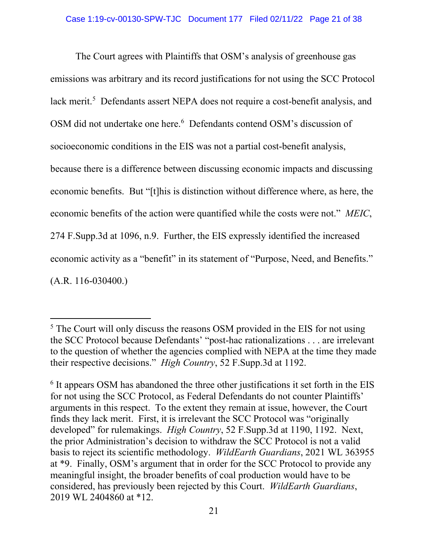The Court agrees with Plaintiffs that OSM's analysis of greenhouse gas emissions was arbitrary and its record justifications for not using the SCC Protocol lack merit.<sup>5</sup> Defendants assert NEPA does not require a cost-benefit analysis, and OSM did not undertake one here.<sup>[6](#page-20-1)</sup> Defendants contend OSM's discussion of socioeconomic conditions in the EIS was not a partial cost-benefit analysis, because there is a difference between discussing economic impacts and discussing economic benefits. But "[t]his is distinction without difference where, as here, the economic benefits of the action were quantified while the costs were not." *MEIC*, 274 F.Supp.3d at 1096, n.9. Further, the EIS expressly identified the increased economic activity as a "benefit" in its statement of "Purpose, Need, and Benefits." (A.R. 116-030400.)

<span id="page-20-0"></span><sup>&</sup>lt;sup>5</sup> The Court will only discuss the reasons OSM provided in the EIS for not using the SCC Protocol because Defendants' "post-hac rationalizations . . . are irrelevant to the question of whether the agencies complied with NEPA at the time they made their respective decisions." *High Country*, 52 F.Supp.3d at 1192.

<span id="page-20-1"></span> $6$  It appears OSM has abandoned the three other justifications it set forth in the EIS for not using the SCC Protocol, as Federal Defendants do not counter Plaintiffs' arguments in this respect. To the extent they remain at issue, however, the Court finds they lack merit. First, it is irrelevant the SCC Protocol was "originally developed" for rulemakings. *High Country*, 52 F.Supp.3d at 1190, 1192. Next, the prior Administration's decision to withdraw the SCC Protocol is not a valid basis to reject its scientific methodology. *WildEarth Guardians*, 2021 WL 363955 at \*9. Finally, OSM's argument that in order for the SCC Protocol to provide any meaningful insight, the broader benefits of coal production would have to be considered, has previously been rejected by this Court. *WildEarth Guardians*, 2019 WL 2404860 at \*12.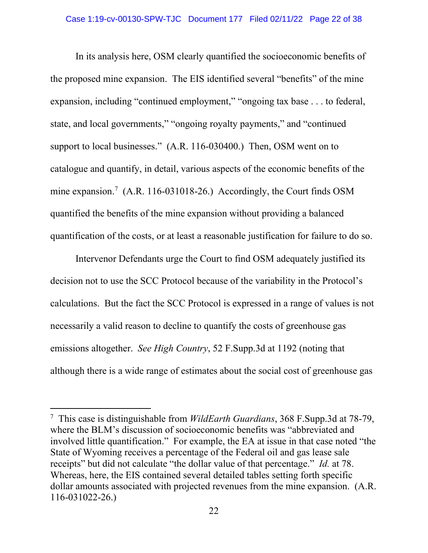In its analysis here, OSM clearly quantified the socioeconomic benefits of the proposed mine expansion. The EIS identified several "benefits" of the mine expansion, including "continued employment," "ongoing tax base . . . to federal, state, and local governments," "ongoing royalty payments," and "continued support to local businesses." (A.R. 116-030400.) Then, OSM went on to catalogue and quantify, in detail, various aspects of the economic benefits of the mine expansion.<sup>[7](#page-21-0)</sup> (A.R. 116-031018-26.) Accordingly, the Court finds OSM quantified the benefits of the mine expansion without providing a balanced quantification of the costs, or at least a reasonable justification for failure to do so.

Intervenor Defendants urge the Court to find OSM adequately justified its decision not to use the SCC Protocol because of the variability in the Protocol's calculations. But the fact the SCC Protocol is expressed in a range of values is not necessarily a valid reason to decline to quantify the costs of greenhouse gas emissions altogether. *See High Country*, 52 F.Supp.3d at 1192 (noting that although there is a wide range of estimates about the social cost of greenhouse gas

<span id="page-21-0"></span><sup>7</sup> This case is distinguishable from *WildEarth Guardians*, 368 F.Supp.3d at 78-79, where the BLM's discussion of socioeconomic benefits was "abbreviated and involved little quantification." For example, the EA at issue in that case noted "the State of Wyoming receives a percentage of the Federal oil and gas lease sale receipts" but did not calculate "the dollar value of that percentage." *Id.* at 78. Whereas, here, the EIS contained several detailed tables setting forth specific dollar amounts associated with projected revenues from the mine expansion. (A.R. 116-031022-26.)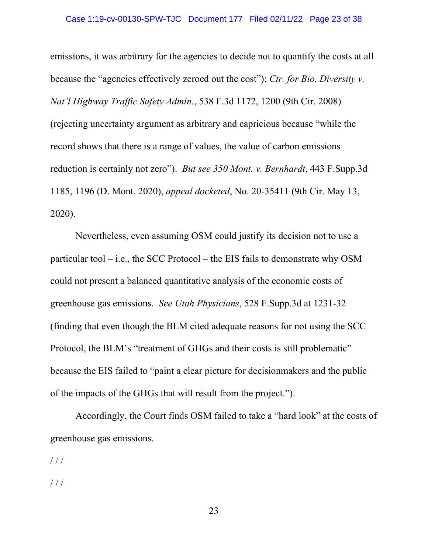emissions, it was arbitrary for the agencies to decide not to quantify the costs at all because the "agencies effectively zeroed out the cost"); *Ctr. for Bio. Diversity v. Nat'l Highway Traffic Safety Admin.*, 538 F.3d 1172, 1200 (9th Cir. 2008) (rejecting uncertainty argument as arbitrary and capricious because "while the record shows that there is a range of values, the value of carbon emissions reduction is certainly not zero"). *But see 350 Mont. v. Bernhardt*, 443 F.Supp.3d 1185, 1196 (D. Mont. 2020), *appeal docketed*, No. 20-35411 (9th Cir. May 13, 2020).

Nevertheless, even assuming OSM could justify its decision not to use a particular tool – i.e., the SCC Protocol – the EIS fails to demonstrate why OSM could not present a balanced quantitative analysis of the economic costs of greenhouse gas emissions. *See Utah Physicians*, 528 F.Supp.3d at 1231-32 (finding that even though the BLM cited adequate reasons for not using the SCC Protocol, the BLM's "treatment of GHGs and their costs is still problematic" because the EIS failed to "paint a clear picture for decisionmakers and the public of the impacts of the GHGs that will result from the project.").

Accordingly, the Court finds OSM failed to take a "hard look" at the costs of greenhouse gas emissions.

 $//$ 

/ / /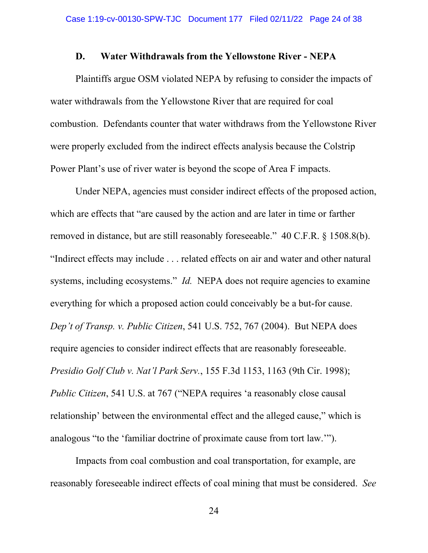### **D. Water Withdrawals from the Yellowstone River - NEPA**

Plaintiffs argue OSM violated NEPA by refusing to consider the impacts of water withdrawals from the Yellowstone River that are required for coal combustion. Defendants counter that water withdraws from the Yellowstone River were properly excluded from the indirect effects analysis because the Colstrip Power Plant's use of river water is beyond the scope of Area F impacts.

Under NEPA, agencies must consider indirect effects of the proposed action, which are effects that "are caused by the action and are later in time or farther removed in distance, but are still reasonably foreseeable." 40 C.F.R. § 1508.8(b). "Indirect effects may include . . . related effects on air and water and other natural systems, including ecosystems." *Id.* NEPA does not require agencies to examine everything for which a proposed action could conceivably be a but-for cause. *Dep't of Transp. v. Public Citizen*, 541 U.S. 752, 767 (2004). But NEPA does require agencies to consider indirect effects that are reasonably foreseeable. *Presidio Golf Club v. Nat'l Park Serv.*, 155 F.3d 1153, 1163 (9th Cir. 1998); *Public Citizen*, 541 U.S. at 767 ("NEPA requires 'a reasonably close causal relationship' between the environmental effect and the alleged cause," which is analogous "to the 'familiar doctrine of proximate cause from tort law.'").

Impacts from coal combustion and coal transportation, for example, are reasonably foreseeable indirect effects of coal mining that must be considered. *See*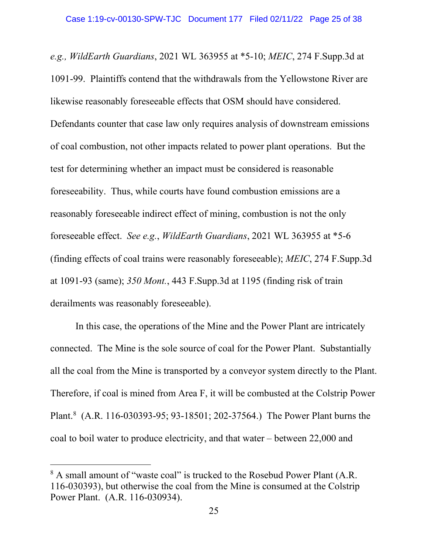*e.g., WildEarth Guardians*, 2021 WL 363955 at \*5-10; *MEIC*, 274 F.Supp.3d at 1091-99. Plaintiffs contend that the withdrawals from the Yellowstone River are likewise reasonably foreseeable effects that OSM should have considered. Defendants counter that case law only requires analysis of downstream emissions of coal combustion, not other impacts related to power plant operations. But the test for determining whether an impact must be considered is reasonable foreseeability. Thus, while courts have found combustion emissions are a reasonably foreseeable indirect effect of mining, combustion is not the only foreseeable effect. *See e.g.*, *WildEarth Guardians*, 2021 WL 363955 at \*5-6 (finding effects of coal trains were reasonably foreseeable); *MEIC*, 274 F.Supp.3d at 1091-93 (same); *350 Mont.*, 443 F.Supp.3d at 1195 (finding risk of train derailments was reasonably foreseeable).

In this case, the operations of the Mine and the Power Plant are intricately connected. The Mine is the sole source of coal for the Power Plant. Substantially all the coal from the Mine is transported by a conveyor system directly to the Plant. Therefore, if coal is mined from Area F, it will be combusted at the Colstrip Power Plant.<sup>[8](#page-24-0)</sup> (A.R. 116-030393-95; 93-18501; 202-37564.) The Power Plant burns the coal to boil water to produce electricity, and that water – between 22,000 and

<span id="page-24-0"></span><sup>&</sup>lt;sup>8</sup> A small amount of "waste coal" is trucked to the Rosebud Power Plant (A.R. 116-030393), but otherwise the coal from the Mine is consumed at the Colstrip Power Plant. (A.R. 116-030934).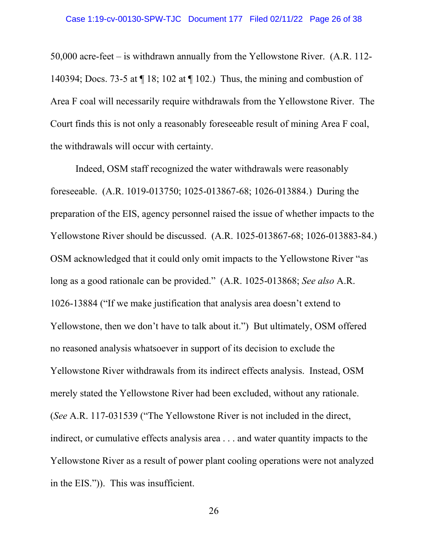50,000 acre-feet – is withdrawn annually from the Yellowstone River. (A.R. 112- 140394; Docs. 73-5 at ¶ 18; 102 at ¶ 102.) Thus, the mining and combustion of Area F coal will necessarily require withdrawals from the Yellowstone River. The Court finds this is not only a reasonably foreseeable result of mining Area F coal, the withdrawals will occur with certainty.

Indeed, OSM staff recognized the water withdrawals were reasonably foreseeable. (A.R. 1019-013750; 1025-013867-68; 1026-013884.) During the preparation of the EIS, agency personnel raised the issue of whether impacts to the Yellowstone River should be discussed. (A.R. 1025-013867-68; 1026-013883-84.) OSM acknowledged that it could only omit impacts to the Yellowstone River "as long as a good rationale can be provided." (A.R. 1025-013868; *See also* A.R. 1026-13884 ("If we make justification that analysis area doesn't extend to Yellowstone, then we don't have to talk about it.") But ultimately, OSM offered no reasoned analysis whatsoever in support of its decision to exclude the Yellowstone River withdrawals from its indirect effects analysis. Instead, OSM merely stated the Yellowstone River had been excluded, without any rationale. (*See* A.R. 117-031539 ("The Yellowstone River is not included in the direct, indirect, or cumulative effects analysis area . . . and water quantity impacts to the Yellowstone River as a result of power plant cooling operations were not analyzed in the EIS.")). This was insufficient.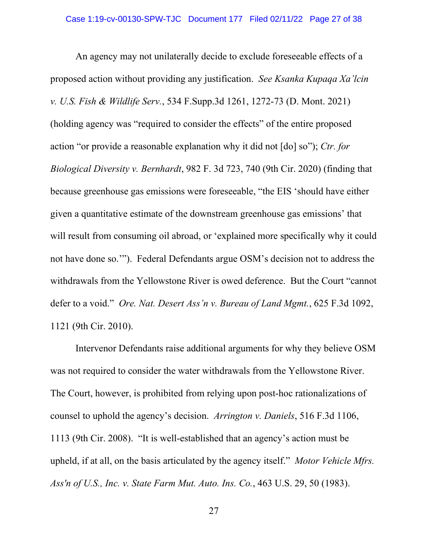An agency may not unilaterally decide to exclude foreseeable effects of a proposed action without providing any justification. *See Ksanka Kupaqa Xa'lcin v. U.S. Fish & Wildlife Serv.*, 534 F.Supp.3d 1261, 1272-73 (D. Mont. 2021) (holding agency was "required to consider the effects" of the entire proposed action "or provide a reasonable explanation why it did not [do] so"); *Ctr. for Biological Diversity v. Bernhardt*, 982 F. 3d 723, 740 (9th Cir. 2020) (finding that because greenhouse gas emissions were foreseeable, "the EIS 'should have either given a quantitative estimate of the downstream greenhouse gas emissions' that will result from consuming oil abroad, or 'explained more specifically why it could not have done so.'"). Federal Defendants argue OSM's decision not to address the withdrawals from the Yellowstone River is owed deference. But the Court "cannot defer to a void." *Ore. Nat. Desert Ass'n v. Bureau of Land Mgmt.*, 625 F.3d 1092, 1121 (9th Cir. 2010).

Intervenor Defendants raise additional arguments for why they believe OSM was not required to consider the water withdrawals from the Yellowstone River. The Court, however, is prohibited from relying upon post-hoc rationalizations of counsel to uphold the agency's decision. *Arrington v. Daniels*, 516 F.3d 1106, 1113 (9th Cir. 2008). "It is well-established that an agency's action must be upheld, if at all, on the basis articulated by the agency itself." *Motor Vehicle Mfrs. Ass'n of U.S., Inc. v. State Farm Mut. Auto. Ins. Co.*, 463 U.S. 29, 50 (1983).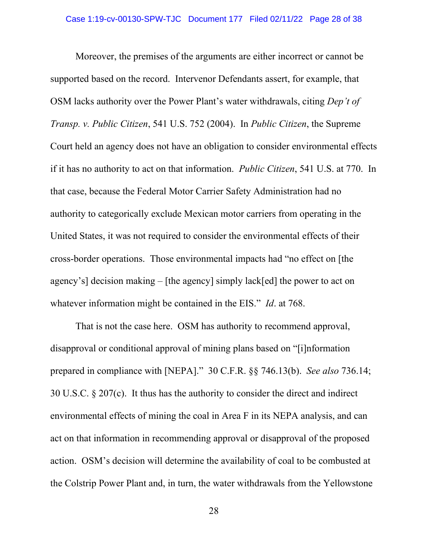Moreover, the premises of the arguments are either incorrect or cannot be supported based on the record. Intervenor Defendants assert, for example, that OSM lacks authority over the Power Plant's water withdrawals, citing *Dep't of Transp. v. Public Citizen*, 541 U.S. 752 (2004). In *Public Citizen*, the Supreme Court held an agency does not have an obligation to consider environmental effects if it has no authority to act on that information. *Public Citizen*, 541 U.S. at 770. In that case, because the Federal Motor Carrier Safety Administration had no authority to categorically exclude Mexican motor carriers from operating in the United States, it was not required to consider the environmental effects of their cross-border operations. Those environmental impacts had "no effect on [the agency's] decision making – [the agency] simply lack[ed] the power to act on whatever information might be contained in the EIS." *Id*. at 768.

That is not the case here. OSM has authority to recommend approval, disapproval or conditional approval of mining plans based on "[i]nformation prepared in compliance with [NEPA]." 30 C.F.R. §§ 746.13(b). *See also* 736.14; 30 U.S.C. § 207(c). It thus has the authority to consider the direct and indirect environmental effects of mining the coal in Area F in its NEPA analysis, and can act on that information in recommending approval or disapproval of the proposed action. OSM's decision will determine the availability of coal to be combusted at the Colstrip Power Plant and, in turn, the water withdrawals from the Yellowstone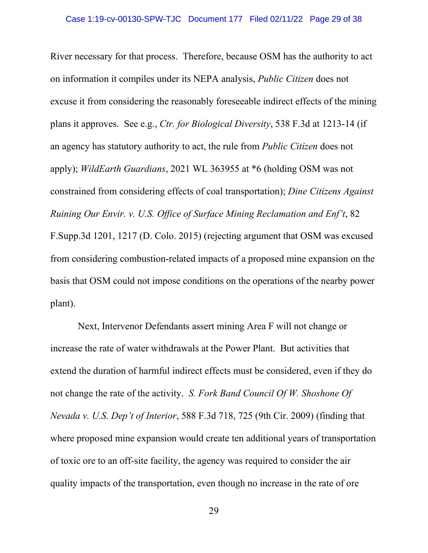River necessary for that process. Therefore, because OSM has the authority to act on information it compiles under its NEPA analysis, *Public Citizen* does not excuse it from considering the reasonably foreseeable indirect effects of the mining plans it approves. See e.g., *Ctr. for Biological Diversity*, 538 F.3d at 1213-14 (if an agency has statutory authority to act, the rule from *Public Citizen* does not apply); *WildEarth Guardians*, 2021 WL 363955 at \*6 (holding OSM was not constrained from considering effects of coal transportation); *Dine Citizens Against Ruining Our Envir. v. U.S. Office of Surface Mining Reclamation and Enf't*, 82 F.Supp.3d 1201, 1217 (D. Colo. 2015) (rejecting argument that OSM was excused from considering combustion-related impacts of a proposed mine expansion on the basis that OSM could not impose conditions on the operations of the nearby power plant).

Next, Intervenor Defendants assert mining Area F will not change or increase the rate of water withdrawals at the Power Plant. But activities that extend the duration of harmful indirect effects must be considered, even if they do not change the rate of the activity. *S. Fork Band Council Of W. Shoshone Of Nevada v. U.S. Dep't of Interior*, 588 F.3d 718, 725 (9th Cir. 2009) (finding that where proposed mine expansion would create ten additional years of transportation of toxic ore to an off-site facility, the agency was required to consider the air quality impacts of the transportation, even though no increase in the rate of ore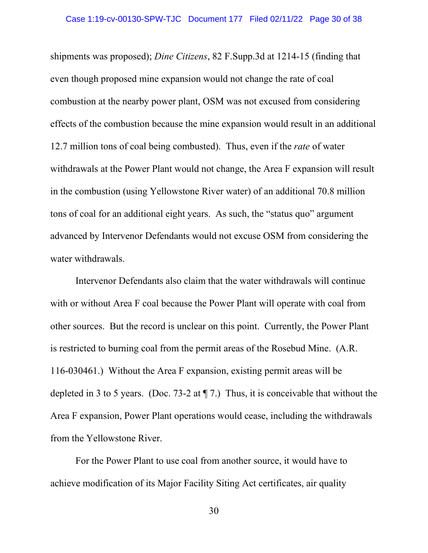shipments was proposed); *Dine Citizens*, 82 F.Supp.3d at 1214-15 (finding that even though proposed mine expansion would not change the rate of coal combustion at the nearby power plant, OSM was not excused from considering effects of the combustion because the mine expansion would result in an additional 12.7 million tons of coal being combusted). Thus, even if the *rate* of water withdrawals at the Power Plant would not change, the Area F expansion will result in the combustion (using Yellowstone River water) of an additional 70.8 million tons of coal for an additional eight years. As such, the "status quo" argument advanced by Intervenor Defendants would not excuse OSM from considering the water withdrawals.

Intervenor Defendants also claim that the water withdrawals will continue with or without Area F coal because the Power Plant will operate with coal from other sources. But the record is unclear on this point. Currently, the Power Plant is restricted to burning coal from the permit areas of the Rosebud Mine. (A.R. 116-030461.) Without the Area F expansion, existing permit areas will be depleted in 3 to 5 years. (Doc. 73-2 at  $\P$  7.) Thus, it is conceivable that without the Area F expansion, Power Plant operations would cease, including the withdrawals from the Yellowstone River.

For the Power Plant to use coal from another source, it would have to achieve modification of its Major Facility Siting Act certificates, air quality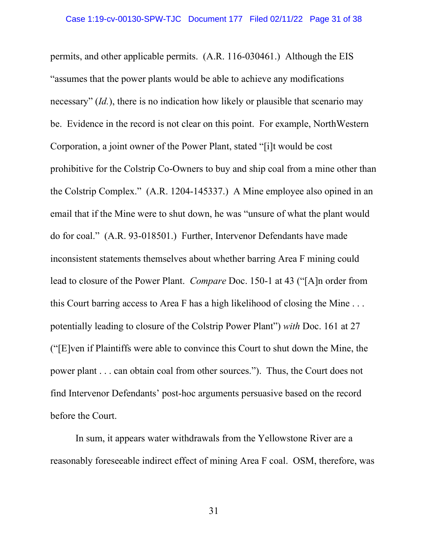permits, and other applicable permits. (A.R. 116-030461.) Although the EIS "assumes that the power plants would be able to achieve any modifications necessary" (*Id.*), there is no indication how likely or plausible that scenario may be. Evidence in the record is not clear on this point. For example, NorthWestern Corporation, a joint owner of the Power Plant, stated "[i]t would be cost prohibitive for the Colstrip Co-Owners to buy and ship coal from a mine other than the Colstrip Complex." (A.R. 1204-145337.) A Mine employee also opined in an email that if the Mine were to shut down, he was "unsure of what the plant would do for coal." (A.R. 93-018501.) Further, Intervenor Defendants have made inconsistent statements themselves about whether barring Area F mining could lead to closure of the Power Plant. *Compare* Doc. 150-1 at 43 ("[A]n order from this Court barring access to Area F has a high likelihood of closing the Mine . . . potentially leading to closure of the Colstrip Power Plant") *with* Doc. 161 at 27 ("[E]ven if Plaintiffs were able to convince this Court to shut down the Mine, the power plant . . . can obtain coal from other sources."). Thus, the Court does not find Intervenor Defendants' post-hoc arguments persuasive based on the record before the Court.

In sum, it appears water withdrawals from the Yellowstone River are a reasonably foreseeable indirect effect of mining Area F coal. OSM, therefore, was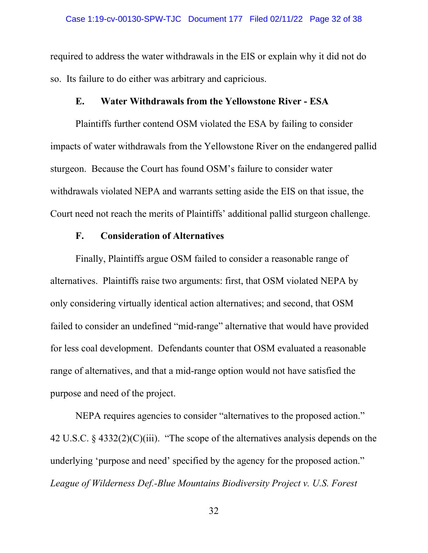required to address the water withdrawals in the EIS or explain why it did not do so. Its failure to do either was arbitrary and capricious.

## **E. Water Withdrawals from the Yellowstone River - ESA**

Plaintiffs further contend OSM violated the ESA by failing to consider impacts of water withdrawals from the Yellowstone River on the endangered pallid sturgeon. Because the Court has found OSM's failure to consider water withdrawals violated NEPA and warrants setting aside the EIS on that issue, the Court need not reach the merits of Plaintiffs' additional pallid sturgeon challenge.

# **F. Consideration of Alternatives**

Finally, Plaintiffs argue OSM failed to consider a reasonable range of alternatives. Plaintiffs raise two arguments: first, that OSM violated NEPA by only considering virtually identical action alternatives; and second, that OSM failed to consider an undefined "mid-range" alternative that would have provided for less coal development. Defendants counter that OSM evaluated a reasonable range of alternatives, and that a mid-range option would not have satisfied the purpose and need of the project.

NEPA requires agencies to consider "alternatives to the proposed action." 42 U.S.C.  $\S$  4332(2)(C)(iii). "The scope of the alternatives analysis depends on the underlying 'purpose and need' specified by the agency for the proposed action." *League of Wilderness Def.-Blue Mountains Biodiversity Project v. U.S. Forest*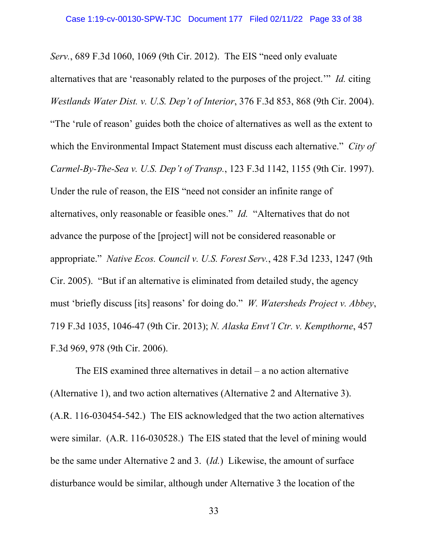*Serv.*, 689 F.3d 1060, 1069 (9th Cir. 2012). The EIS "need only evaluate alternatives that are 'reasonably related to the purposes of the project.'" *Id.* citing *Westlands Water Dist. v. U.S. Dep't of Interior*, 376 F.3d 853, 868 (9th Cir. 2004). "The 'rule of reason' guides both the choice of alternatives as well as the extent to which the Environmental Impact Statement must discuss each alternative." *City of Carmel-By-The-Sea v. U.S. Dep't of Transp.*, 123 F.3d 1142, 1155 (9th Cir. 1997). Under the rule of reason, the EIS "need not consider an infinite range of alternatives, only reasonable or feasible ones." *Id.*"Alternatives that do not advance the purpose of the [project] will not be considered reasonable or appropriate." *Native Ecos. Council v. U.S. Forest Serv.*, 428 F.3d 1233, 1247 (9th Cir. 2005). "But if an alternative is eliminated from detailed study, the agency must 'briefly discuss [its] reasons' for doing do." *W. Watersheds Project v. Abbey*, 719 F.3d 1035, 1046-47 (9th Cir. 2013); *N. Alaska Envt'l Ctr. v. Kempthorne*, 457 F.3d 969, 978 (9th Cir. 2006).

The EIS examined three alternatives in detail – a no action alternative (Alternative 1), and two action alternatives (Alternative 2 and Alternative 3). (A.R. 116-030454-542.) The EIS acknowledged that the two action alternatives were similar. (A.R. 116-030528.) The EIS stated that the level of mining would be the same under Alternative 2 and 3. (*Id.*) Likewise, the amount of surface disturbance would be similar, although under Alternative 3 the location of the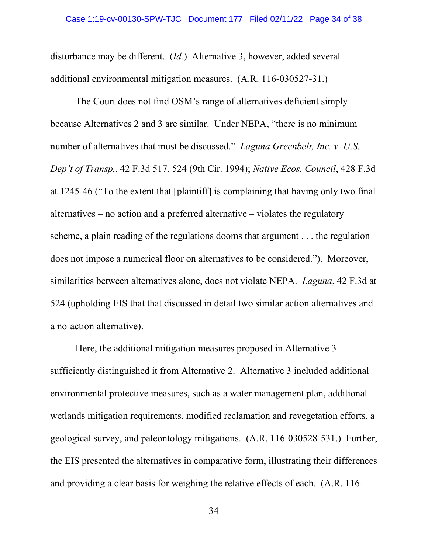disturbance may be different. (*Id.*) Alternative 3, however, added several additional environmental mitigation measures. (A.R. 116-030527-31.)

The Court does not find OSM's range of alternatives deficient simply because Alternatives 2 and 3 are similar. Under NEPA, "there is no minimum number of alternatives that must be discussed." *Laguna Greenbelt, Inc. v. U.S. Dep't of Transp.*, 42 F.3d 517, 524 (9th Cir. 1994); *Native Ecos. Council*, 428 F.3d at 1245-46 ("To the extent that [plaintiff] is complaining that having only two final alternatives – no action and a preferred alternative – violates the regulatory scheme, a plain reading of the regulations dooms that argument . . . the regulation does not impose a numerical floor on alternatives to be considered."). Moreover, similarities between alternatives alone, does not violate NEPA. *Laguna*, 42 F.3d at 524 (upholding EIS that that discussed in detail two similar action alternatives and a no-action alternative).

Here, the additional mitigation measures proposed in Alternative 3 sufficiently distinguished it from Alternative 2. Alternative 3 included additional environmental protective measures, such as a water management plan, additional wetlands mitigation requirements, modified reclamation and revegetation efforts, a geological survey, and paleontology mitigations. (A.R. 116-030528-531.) Further, the EIS presented the alternatives in comparative form, illustrating their differences and providing a clear basis for weighing the relative effects of each. (A.R. 116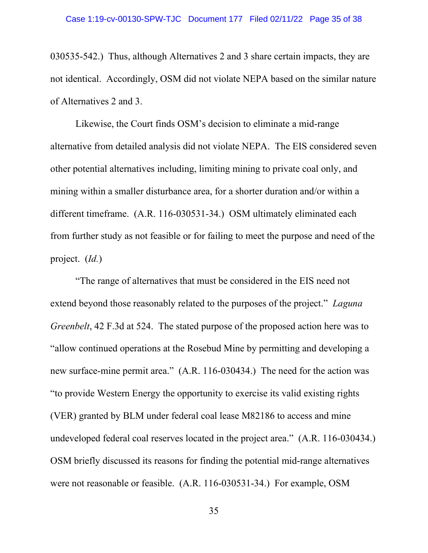030535-542.) Thus, although Alternatives 2 and 3 share certain impacts, they are not identical. Accordingly, OSM did not violate NEPA based on the similar nature of Alternatives 2 and 3.

Likewise, the Court finds OSM's decision to eliminate a mid-range alternative from detailed analysis did not violate NEPA. The EIS considered seven other potential alternatives including, limiting mining to private coal only, and mining within a smaller disturbance area, for a shorter duration and/or within a different timeframe. (A.R. 116-030531-34.) OSM ultimately eliminated each from further study as not feasible or for failing to meet the purpose and need of the project. (*Id.*)

"The range of alternatives that must be considered in the EIS need not extend beyond those reasonably related to the purposes of the project." *Laguna Greenbelt*, 42 F.3d at 524. The stated purpose of the proposed action here was to "allow continued operations at the Rosebud Mine by permitting and developing a new surface-mine permit area." (A.R. 116-030434.) The need for the action was "to provide Western Energy the opportunity to exercise its valid existing rights (VER) granted by BLM under federal coal lease M82186 to access and mine undeveloped federal coal reserves located in the project area." (A.R. 116-030434.) OSM briefly discussed its reasons for finding the potential mid-range alternatives were not reasonable or feasible. (A.R. 116-030531-34.) For example, OSM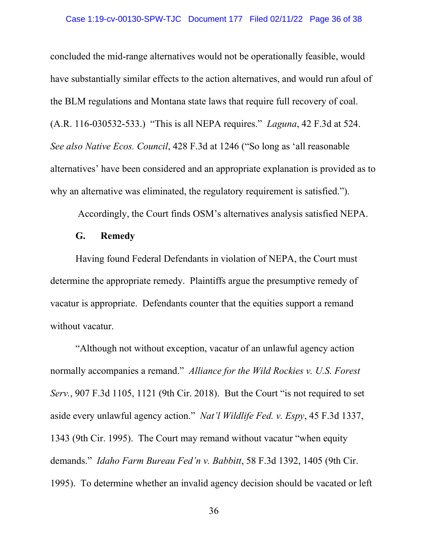concluded the mid-range alternatives would not be operationally feasible, would have substantially similar effects to the action alternatives, and would run afoul of the BLM regulations and Montana state laws that require full recovery of coal. (A.R. 116-030532-533.) "This is all NEPA requires." *Laguna*, 42 F.3d at 524. *See also Native Ecos. Council*, 428 F.3d at 1246 ("So long as 'all reasonable alternatives' have been considered and an appropriate explanation is provided as to why an alternative was eliminated, the regulatory requirement is satisfied.").

Accordingly, the Court finds OSM's alternatives analysis satisfied NEPA.

# **G. Remedy**

Having found Federal Defendants in violation of NEPA, the Court must determine the appropriate remedy. Plaintiffs argue the presumptive remedy of vacatur is appropriate. Defendants counter that the equities support a remand without vacatur.

"Although not without exception, vacatur of an unlawful agency action normally accompanies a remand." *Alliance for the Wild Rockies v. U.S. Forest Serv.*, 907 F.3d 1105, 1121 (9th Cir. 2018). But the Court "is not required to set aside every unlawful agency action." *Nat'l Wildlife Fed. v. Espy*, 45 F.3d 1337, 1343 (9th Cir. 1995). The Court may remand without vacatur "when equity demands." *Idaho Farm Bureau Fed'n v. Babbitt*, 58 F.3d 1392, 1405 (9th Cir. 1995). To determine whether an invalid agency decision should be vacated or left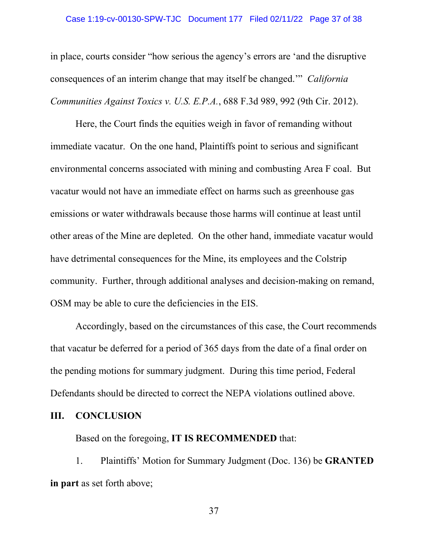### Case 1:19-cv-00130-SPW-TJC Document 177 Filed 02/11/22 Page 37 of 38

in place, courts consider "how serious the agency's errors are 'and the disruptive consequences of an interim change that may itself be changed.'" *California Communities Against Toxics v. U.S. E.P.A.*, 688 F.3d 989, 992 (9th Cir. 2012).

Here, the Court finds the equities weigh in favor of remanding without immediate vacatur. On the one hand, Plaintiffs point to serious and significant environmental concerns associated with mining and combusting Area F coal. But vacatur would not have an immediate effect on harms such as greenhouse gas emissions or water withdrawals because those harms will continue at least until other areas of the Mine are depleted. On the other hand, immediate vacatur would have detrimental consequences for the Mine, its employees and the Colstrip community. Further, through additional analyses and decision-making on remand, OSM may be able to cure the deficiencies in the EIS.

Accordingly, based on the circumstances of this case, the Court recommends that vacatur be deferred for a period of 365 days from the date of a final order on the pending motions for summary judgment. During this time period, Federal Defendants should be directed to correct the NEPA violations outlined above.

## **III. CONCLUSION**

Based on the foregoing, **IT IS RECOMMENDED** that:

1. Plaintiffs' Motion for Summary Judgment (Doc. 136) be **GRANTED in part** as set forth above;